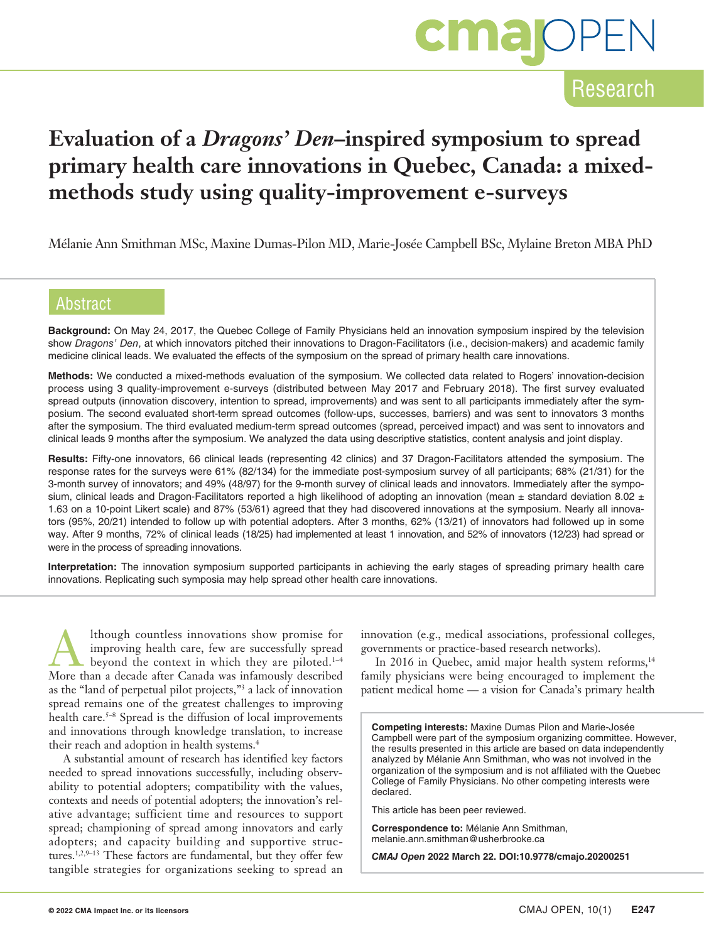

# **Evaluation of a** *Dragons' Den***–inspired symposium to spread primary health care innovations in Quebec, Canada: a mixedmethods study using quality-improvement e-surveys**

Mélanie Ann Smithman MSc, Maxine Dumas-Pilon MD, Marie-Josée Campbell BSc, Mylaine Breton MBA PhD

## Abstract

**Background:** On May 24, 2017, the Quebec College of Family Physicians held an innovation symposium inspired by the television show *Dragons' Den*, at which innovators pitched their innovations to Dragon-Facilitators (i.e., decision-makers) and academic family medicine clinical leads. We evaluated the effects of the symposium on the spread of primary health care innovations.

**Methods:** We conducted a mixed-methods evaluation of the symposium. We collected data related to Rogers' innovation-decision process using 3 quality-improvement e-surveys (distributed between May 2017 and February 2018). The first survey evaluated spread outputs (innovation discovery, intention to spread, improvements) and was sent to all participants immediately after the symposium. The second evaluated short-term spread outcomes (follow-ups, successes, barriers) and was sent to innovators 3 months after the symposium. The third evaluated medium-term spread outcomes (spread, perceived impact) and was sent to innovators and clinical leads 9 months after the symposium. We analyzed the data using descriptive statistics, content analysis and joint display.

**Results:** Fifty-one innovators, 66 clinical leads (representing 42 clinics) and 37 Dragon-Facilitators attended the symposium. The response rates for the surveys were 61% (82/134) for the immediate post-symposium survey of all participants; 68% (21/31) for the 3-month survey of innovators; and 49% (48/97) for the 9-month survey of clinical leads and innovators. Immediately after the symposium, clinical leads and Dragon-Facilitators reported a high likelihood of adopting an innovation (mean  $\pm$  standard deviation 8.02  $\pm$ 1.63 on a 10-point Likert scale) and 87% (53/61) agreed that they had discovered innovations at the symposium. Nearly all innovators (95%, 20/21) intended to follow up with potential adopters. After 3 months, 62% (13/21) of innovators had followed up in some way. After 9 months, 72% of clinical leads (18/25) had implemented at least 1 innovation, and 52% of innovators (12/23) had spread or were in the process of spreading innovations.

**Interpretation:** The innovation symposium supported participants in achieving the early stages of spreading primary health care innovations. Replicating such symposia may help spread other health care innovations.

Although countless innovations show promise for improving health care, few are successfully spread beyond the context in which they are piloted. $1-4$ More than a decade after Canada was infamously described as the "land of perpetual pilot projects,"3 a lack of innovation spread remains one of the greatest challenges to improving health care.<sup>5–8</sup> Spread is the diffusion of local improvements and innovations through knowledge translation, to increase their reach and adoption in health systems.4

A substantial amount of research has identified key factors needed to spread innovations successfully, including observability to potential adopters; compatibility with the values, contexts and needs of potential adopters; the innovation's relative advantage; sufficient time and resources to support spread; championing of spread among innovators and early adopters; and capacity building and supportive structures.1,2,9–13 These factors are fundamental, but they offer few tangible strategies for organizations seeking to spread an

innovation (e.g., medical associations, professional colleges, governments or practice-based research networks).

In 2016 in Quebec, amid major health system reforms,<sup>14</sup> family physicians were being encouraged to implement the patient medical home — a vision for Canada's primary health

**Competing interests:** Maxine Dumas Pilon and Marie-Josée Campbell were part of the symposium organizing committee. However, the results presented in this article are based on data independently analyzed by Mélanie Ann Smithman, who was not involved in the organization of the symposium and is not affiliated with the Quebec College of Family Physicians. No other competing interests were declared.

This article has been peer reviewed.

**Correspondence to:** Mélanie Ann Smithman, melanie.ann.smithman@usherbrooke.ca

*CMAJ Open* **2022 March 22. DOI:10.9778/cmajo.20200251**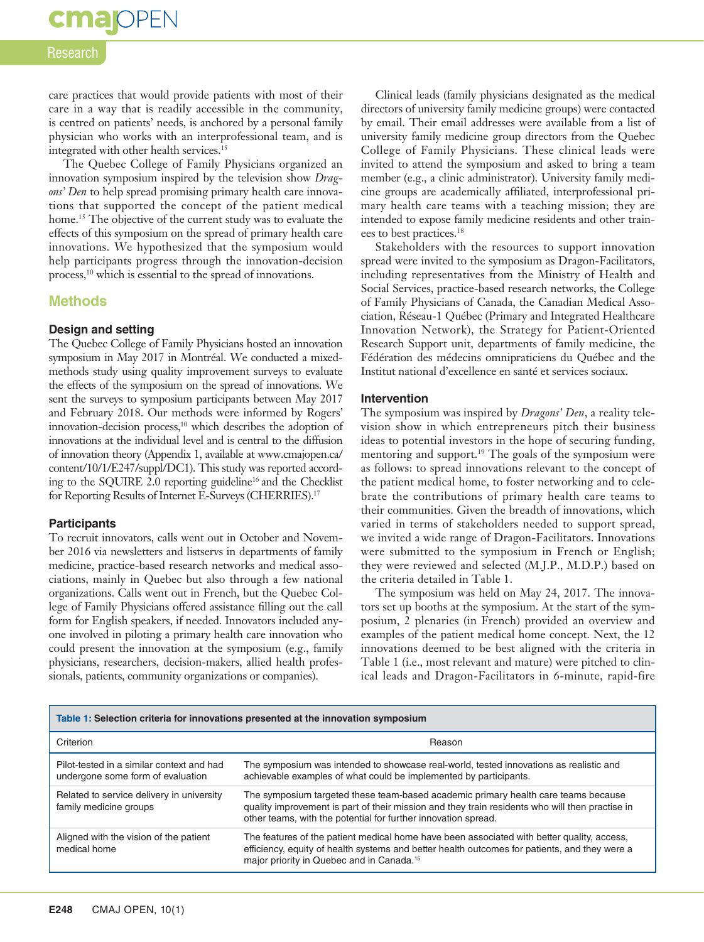# **cma** OPEN

#### Research

care practices that would provide patients with most of their care in a way that is readily accessible in the community, is centred on patients' needs, is anchored by a personal family physician who works with an interprofessional team, and is integrated with other health services.15

The Quebec College of Family Physicians organized an innovation symposium inspired by the television show *Dragons' Den* to help spread promising primary health care innovations that supported the concept of the patient medical home.<sup>15</sup> The objective of the current study was to evaluate the effects of this symposium on the spread of primary health care innovations. We hypothesized that the symposium would help participants progress through the innovation-decision process,<sup>10</sup> which is essential to the spread of innovations.

#### **Methods**

#### **Design and setting**

The Quebec College of Family Physicians hosted an innovation symposium in May 2017 in Montréal. We conducted a mixedmethods study using quality improvement surveys to evaluate the effects of the symposium on the spread of innovations. We sent the surveys to symposium participants between May 2017 and February 2018. Our methods were informed by Rogers' innovation-decision process,<sup>10</sup> which describes the adoption of innovations at the individual level and is central to the diffusion of innovation theory (Appendix 1, available at www.cmajopen.ca/ content/10/1/E247/suppl/DC1). This study was reported according to the SQUIRE 2.0 reporting guideline<sup>16</sup> and the Checklist for Reporting Results of Internet E-Surveys (CHERRIES).17

#### **Participants**

To recruit innovators, calls went out in October and November 2016 via newsletters and listservs in departments of family medicine, practice-based research networks and medical associations, mainly in Quebec but also through a few national organizations. Calls went out in French, but the Quebec College of Family Physicians offered assistance filling out the call form for English speakers, if needed. Innovators included anyone involved in piloting a primary health care innovation who could present the innovation at the symposium (e.g., family physicians, researchers, decision-makers, allied health professionals, patients, community organizations or companies).

Clinical leads (family physicians designated as the medical directors of university family medicine groups) were contacted by email. Their email addresses were available from a list of university family medicine group directors from the Quebec College of Family Physicians. These clinical leads were invited to attend the symposium and asked to bring a team member (e.g., a clinic administrator). University family medicine groups are academically affiliated, interprofessional primary health care teams with a teaching mission; they are intended to expose family medicine residents and other trainees to best practices.18

Stakeholders with the resources to support innovation spread were invited to the symposium as Dragon-Facilitators, including representatives from the Ministry of Health and Social Services, practice-based research networks, the College of Family Physicians of Canada, the Canadian Medical Association, Réseau-1 Québec (Primary and Integrated Healthcare Innovation Network), the Strategy for Patient-Oriented Research Support unit, departments of family medicine, the Fédération des médecins omnipraticiens du Québec and the Institut national d'excellence en santé et services sociaux.

#### **Intervention**

The symposium was inspired by *Dragons' Den*, a reality television show in which entrepreneurs pitch their business ideas to potential investors in the hope of securing funding, mentoring and support.<sup>19</sup> The goals of the symposium were as follows: to spread innovations relevant to the concept of the patient medical home, to foster networking and to celebrate the contributions of primary health care teams to their communities. Given the breadth of innovations, which varied in terms of stakeholders needed to support spread, we invited a wide range of Dragon-Facilitators. Innovations were submitted to the symposium in French or English; they were reviewed and selected (M.J.P., M.D.P.) based on the criteria detailed in Table 1.

The symposium was held on May 24, 2017. The innovators set up booths at the symposium. At the start of the symposium, 2 plenaries (in French) provided an overview and examples of the patient medical home concept. Next, the 12 innovations deemed to be best aligned with the criteria in Table 1 (i.e., most relevant and mature) were pitched to clinical leads and Dragon-Facilitators in 6-minute, rapid-fire

| Table 1: Selection criteria for innovations presented at the innovation symposium |                                                                                                                                                                                                                                                         |  |  |
|-----------------------------------------------------------------------------------|---------------------------------------------------------------------------------------------------------------------------------------------------------------------------------------------------------------------------------------------------------|--|--|
| Criterion                                                                         | Reason                                                                                                                                                                                                                                                  |  |  |
| Pilot-tested in a similar context and had<br>undergone some form of evaluation    | The symposium was intended to showcase real-world, tested innovations as realistic and<br>achievable examples of what could be implemented by participants.                                                                                             |  |  |
| Related to service delivery in university<br>family medicine groups               | The symposium targeted these team-based academic primary health care teams because<br>quality improvement is part of their mission and they train residents who will then practise in<br>other teams, with the potential for further innovation spread. |  |  |
| Aligned with the vision of the patient<br>medical home                            | The features of the patient medical home have been associated with better quality, access,<br>efficiency, equity of health systems and better health outcomes for patients, and they were a<br>major priority in Quebec and in Canada. <sup>15</sup>    |  |  |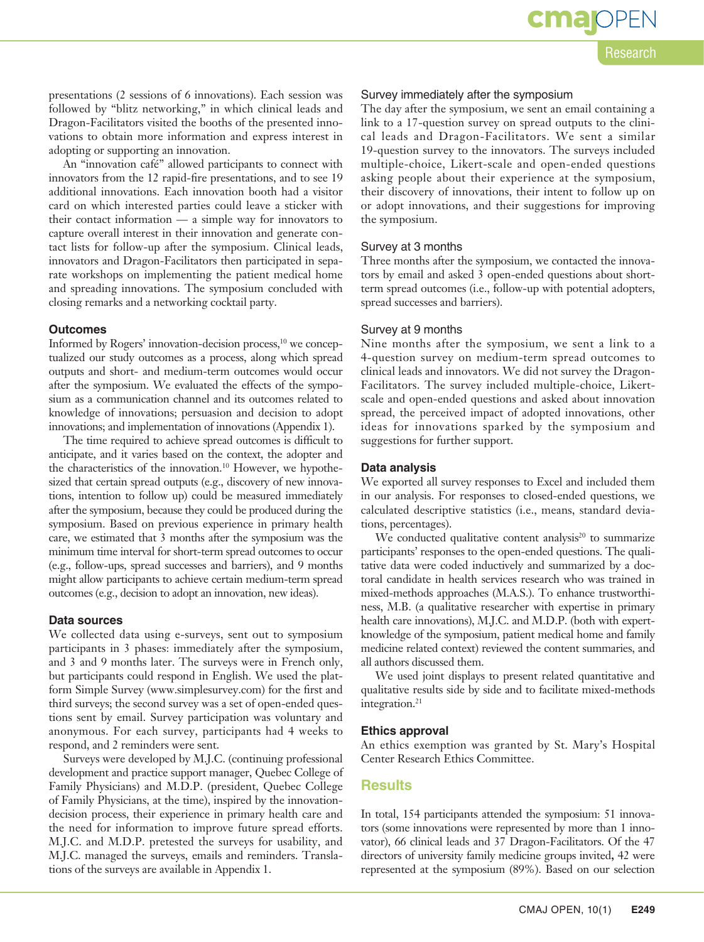cmar

presentations (2 sessions of 6 innovations). Each session was followed by "blitz networking," in which clinical leads and Dragon-Facilitators visited the booths of the presented innovations to obtain more information and express interest in adopting or supporting an innovation.

An "innovation café" allowed participants to connect with innovators from the 12 rapid-fire presentations, and to see 19 additional innovations. Each innovation booth had a visitor card on which interested parties could leave a sticker with their contact information — a simple way for innovators to capture overall interest in their innovation and generate contact lists for follow-up after the symposium. Clinical leads, innovators and Dragon-Facilitators then participated in separate workshops on implementing the patient medical home and spreading innovations. The symposium concluded with closing remarks and a networking cocktail party.

#### **Outcomes**

Informed by Rogers' innovation-decision process,<sup>10</sup> we conceptualized our study outcomes as a process, along which spread outputs and short- and medium-term outcomes would occur after the symposium. We evaluated the effects of the symposium as a communication channel and its outcomes related to knowledge of innovations; persuasion and decision to adopt innovations; and implementation of innovations (Appendix 1).

The time required to achieve spread outcomes is difficult to anticipate, and it varies based on the context, the adopter and the characteristics of the innovation.<sup>10</sup> However, we hypothesized that certain spread outputs (e.g., discovery of new innovations, intention to follow up) could be measured immediately after the symposium, because they could be produced during the symposium. Based on previous experience in primary health care, we estimated that 3 months after the symposium was the minimum time interval for short-term spread outcomes to occur (e.g., follow-ups, spread successes and barriers), and 9 months might allow participants to achieve certain medium-term spread outcomes (e.g., decision to adopt an innovation, new ideas).

#### **Data sources**

We collected data using e-surveys, sent out to symposium participants in 3 phases: immediately after the symposium, and 3 and 9 months later. The surveys were in French only, but participants could respond in English. We used the platform Simple Survey (www.simplesurvey.com) for the first and third surveys; the second survey was a set of open-ended questions sent by email. Survey participation was voluntary and anonymous. For each survey, participants had 4 weeks to respond, and 2 reminders were sent.

Surveys were developed by M.J.C. (continuing professional development and practice support manager, Quebec College of Family Physicians) and M.D.P. (president, Quebec College of Family Physicians, at the time), inspired by the innovationdecision process, their experience in primary health care and the need for information to improve future spread efforts. M.J.C. and M.D.P. pretested the surveys for usability, and M.J.C. managed the surveys, emails and reminders. Translations of the surveys are available in Appendix 1.

#### Survey immediately after the symposium

The day after the symposium, we sent an email containing a link to a 17-question survey on spread outputs to the clinical leads and Dragon-Facilitators. We sent a similar 19-question survey to the innovators. The surveys included multiple-choice, Likert-scale and open-ended questions asking people about their experience at the symposium, their discovery of innovations, their intent to follow up on or adopt innovations, and their suggestions for improving the symposium.

#### Survey at 3 months

Three months after the symposium, we contacted the innovators by email and asked 3 open-ended questions about shortterm spread outcomes (i.e., follow-up with potential adopters, spread successes and barriers).

#### Survey at 9 months

Nine months after the symposium, we sent a link to a 4-question survey on medium-term spread outcomes to clinical leads and innovators. We did not survey the Dragon-Facilitators. The survey included multiple-choice, Likertscale and open-ended questions and asked about innovation spread, the perceived impact of adopted innovations, other ideas for innovations sparked by the symposium and suggestions for further support.

#### **Data analysis**

We exported all survey responses to Excel and included them in our analysis. For responses to closed-ended questions, we calculated descriptive statistics (i.e., means, standard deviations, percentages).

We conducted qualitative content analysis $20$  to summarize participants' responses to the open-ended questions. The qualitative data were coded inductively and summarized by a doctoral candidate in health services research who was trained in mixed-methods approaches (M.A.S.). To enhance trustworthiness, M.B. (a qualitative researcher with expertise in primary health care innovations), M.J.C. and M.D.P. (both with expertknowledge of the symposium, patient medical home and family medicine related context) reviewed the content summaries, and all authors discussed them.

We used joint displays to present related quantitative and qualitative results side by side and to facilitate mixed-methods integration.<sup>21</sup>

#### **Ethics approval**

An ethics exemption was granted by St. Mary's Hospital Center Research Ethics Committee.

#### **Results**

In total, 154 participants attended the symposium: 51 innovators (some innovations were represented by more than 1 innovator), 66 clinical leads and 37 Dragon-Facilitators. Of the 47 directors of university family medicine groups invited**,** 42 were represented at the symposium (89%). Based on our selection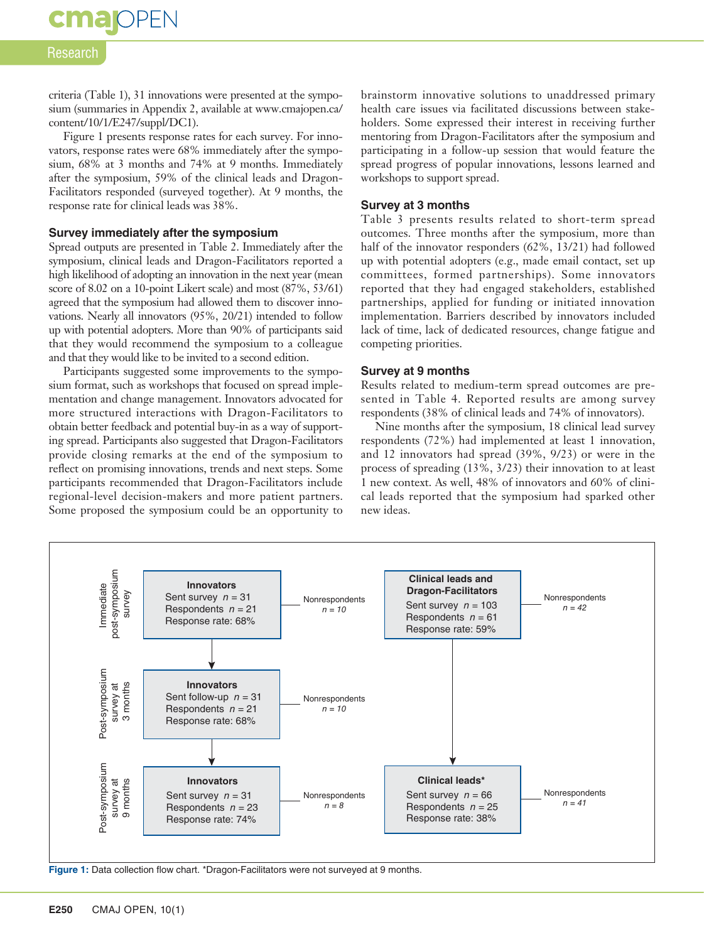**cmajoPEN** 

criteria (Table 1), 31 innovations were presented at the symposium (summaries in Appendix 2, available at www.cmajopen.ca/ content/10/1/E247/suppl/DC1).

Figure 1 presents response rates for each survey. For innovators, response rates were 68% immediately after the symposium, 68% at 3 months and 74% at 9 months. Immediately after the symposium, 59% of the clinical leads and Dragon-Facilitators responded (surveyed together). At 9 months, the response rate for clinical leads was 38%.

#### **Survey immediately after the symposium**

Spread outputs are presented in Table 2. Immediately after the symposium, clinical leads and Dragon-Facilitators reported a high likelihood of adopting an innovation in the next year (mean score of 8.02 on a 10-point Likert scale) and most (87%, 53/61) agreed that the symposium had allowed them to discover innovations. Nearly all innovators (95%, 20/21) intended to follow up with potential adopters. More than 90% of participants said that they would recommend the symposium to a colleague and that they would like to be invited to a second edition.

Participants suggested some improvements to the symposium format, such as workshops that focused on spread implementation and change management. Innovators advocated for more structured interactions with Dragon-Facilitators to obtain better feedback and potential buy-in as a way of supporting spread. Participants also suggested that Dragon-Facilitators provide closing remarks at the end of the symposium to reflect on promising innovations, trends and next steps. Some participants recommended that Dragon-Facilitators include regional-level decision-makers and more patient partners. Some proposed the symposium could be an opportunity to brainstorm innovative solutions to unaddressed primary health care issues via facilitated discussions between stakeholders. Some expressed their interest in receiving further mentoring from Dragon-Facilitators after the symposium and participating in a follow-up session that would feature the spread progress of popular innovations, lessons learned and workshops to support spread.

#### **Survey at 3 months**

Table 3 presents results related to short-term spread outcomes. Three months after the symposium, more than half of the innovator responders (62%, 13/21) had followed up with potential adopters (e.g., made email contact, set up committees, formed partnerships). Some innovators reported that they had engaged stakeholders, established partnerships, applied for funding or initiated innovation implementation. Barriers described by innovators included lack of time, lack of dedicated resources, change fatigue and competing priorities.

#### **Survey at 9 months**

Results related to medium-term spread outcomes are presented in Table 4. Reported results are among survey respondents (38% of clinical leads and 74% of innovators).

Nine months after the symposium, 18 clinical lead survey respondents (72%) had implemented at least 1 innovation, and 12 innovators had spread (39%, 9/23) or were in the process of spreading (13%, 3/23) their innovation to at least 1 new context. As well, 48% of innovators and 60% of clinical leads reported that the symposium had sparked other new ideas.



Figure 1: Data collection flow chart. \*Dragon-Facilitators were not surveyed at 9 months.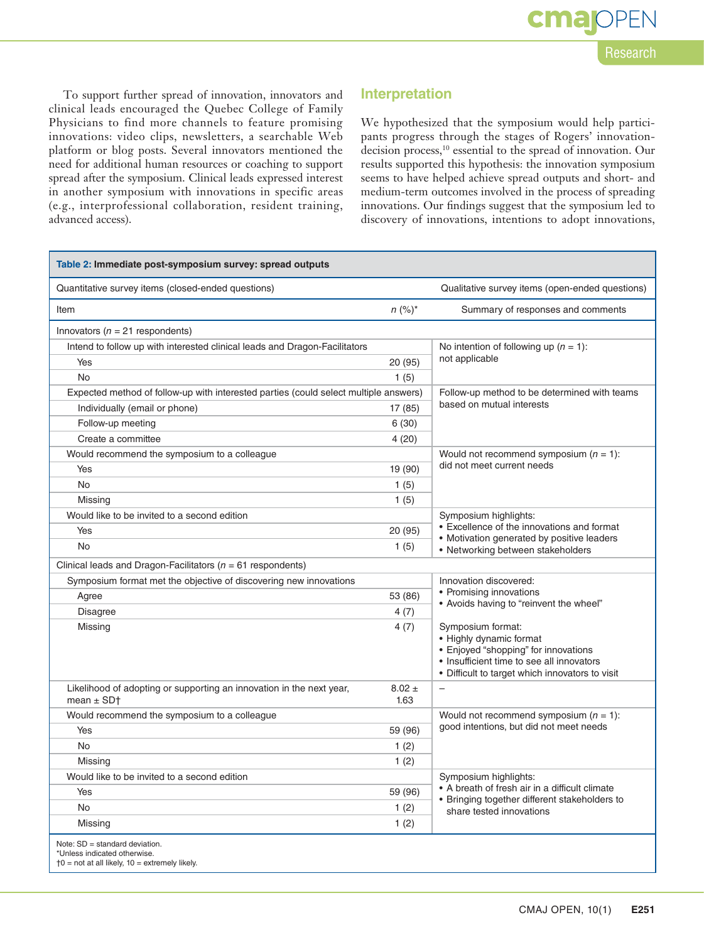To support further spread of innovation, innovators and clinical leads encouraged the Quebec College of Family Physicians to find more channels to feature promising innovations: video clips, newsletters, a searchable Web platform or blog posts. Several innovators mentioned the need for additional human resources or coaching to support spread after the symposium. Clinical leads expressed interest in another symposium with innovations in specific areas (e.g., interprofessional collaboration, resident training, advanced access).

### **Interpretation**

We hypothesized that the symposium would help participants progress through the stages of Rogers' innovationdecision process,<sup>10</sup> essential to the spread of innovation. Our results supported this hypothesis: the innovation symposium seems to have helped achieve spread outputs and short- and medium-term outcomes involved in the process of spreading innovations. Our findings suggest that the symposium led to discovery of innovations, intentions to adopt innovations,

| Table 2: Immediate post-symposium survey: spread outputs                                                                  |                                              |                                                                                                                                                                                      |  |  |
|---------------------------------------------------------------------------------------------------------------------------|----------------------------------------------|--------------------------------------------------------------------------------------------------------------------------------------------------------------------------------------|--|--|
| Quantitative survey items (closed-ended questions)                                                                        |                                              | Qualitative survey items (open-ended questions)                                                                                                                                      |  |  |
| Item                                                                                                                      | $n (%)^*$                                    | Summary of responses and comments                                                                                                                                                    |  |  |
| Innovators ( $n = 21$ respondents)                                                                                        |                                              |                                                                                                                                                                                      |  |  |
| Intend to follow up with interested clinical leads and Dragon-Facilitators                                                | No intention of following up $(n = 1)$ :     |                                                                                                                                                                                      |  |  |
| Yes                                                                                                                       | not applicable<br>20 (95)                    |                                                                                                                                                                                      |  |  |
| No                                                                                                                        | 1(5)                                         |                                                                                                                                                                                      |  |  |
| Expected method of follow-up with interested parties (could select multiple answers)                                      | Follow-up method to be determined with teams |                                                                                                                                                                                      |  |  |
| Individually (email or phone)                                                                                             | 17 (85)                                      | based on mutual interests                                                                                                                                                            |  |  |
| Follow-up meeting                                                                                                         | 6(30)                                        |                                                                                                                                                                                      |  |  |
| Create a committee                                                                                                        | 4(20)                                        |                                                                                                                                                                                      |  |  |
| Would recommend the symposium to a colleague                                                                              |                                              | Would not recommend symposium $(n = 1)$ :<br>did not meet current needs                                                                                                              |  |  |
| Yes                                                                                                                       | 19 (90)                                      |                                                                                                                                                                                      |  |  |
| <b>No</b>                                                                                                                 | 1(5)                                         |                                                                                                                                                                                      |  |  |
| Missing                                                                                                                   | 1(5)                                         |                                                                                                                                                                                      |  |  |
| Would like to be invited to a second edition                                                                              |                                              | Symposium highlights:<br>• Excellence of the innovations and format                                                                                                                  |  |  |
| Yes                                                                                                                       | 20 (95)                                      |                                                                                                                                                                                      |  |  |
| No                                                                                                                        | 1(5)                                         | • Motivation generated by positive leaders<br>• Networking between stakeholders                                                                                                      |  |  |
| Clinical leads and Dragon-Facilitators ( $n = 61$ respondents)                                                            |                                              |                                                                                                                                                                                      |  |  |
| Symposium format met the objective of discovering new innovations                                                         | Innovation discovered:                       |                                                                                                                                                                                      |  |  |
| Agree                                                                                                                     | 53 (86)                                      | • Promising innovations                                                                                                                                                              |  |  |
| Disagree                                                                                                                  | 4(7)                                         | • Avoids having to "reinvent the wheel"                                                                                                                                              |  |  |
| Missing                                                                                                                   | 4(7)                                         | Symposium format:<br>· Highly dynamic format<br>• Enjoyed "shopping" for innovations<br>• Insufficient time to see all innovators<br>• Difficult to target which innovators to visit |  |  |
| Likelihood of adopting or supporting an innovation in the next year,<br>mean $\pm$ SD†                                    | $8.02 \pm$<br>1.63                           | $\overline{\phantom{0}}$                                                                                                                                                             |  |  |
| Would recommend the symposium to a colleague                                                                              |                                              | Would not recommend symposium $(n = 1)$ :<br>good intentions, but did not meet needs                                                                                                 |  |  |
| Yes                                                                                                                       | 59 (96)                                      |                                                                                                                                                                                      |  |  |
| <b>No</b>                                                                                                                 | 1(2)                                         |                                                                                                                                                                                      |  |  |
| Missing                                                                                                                   | 1(2)                                         |                                                                                                                                                                                      |  |  |
| Would like to be invited to a second edition                                                                              |                                              | Symposium highlights:                                                                                                                                                                |  |  |
| Yes                                                                                                                       | 59 (96)                                      | • A breath of fresh air in a difficult climate<br>• Bringing together different stakeholders to<br>share tested innovations                                                          |  |  |
| <b>No</b>                                                                                                                 | 1(2)                                         |                                                                                                                                                                                      |  |  |
| Missing                                                                                                                   | 1(2)                                         |                                                                                                                                                                                      |  |  |
| Note: SD = standard deviation.<br>*Unless indicated otherwise.<br>$\dagger$ 0 = not at all likely, 10 = extremely likely. |                                              |                                                                                                                                                                                      |  |  |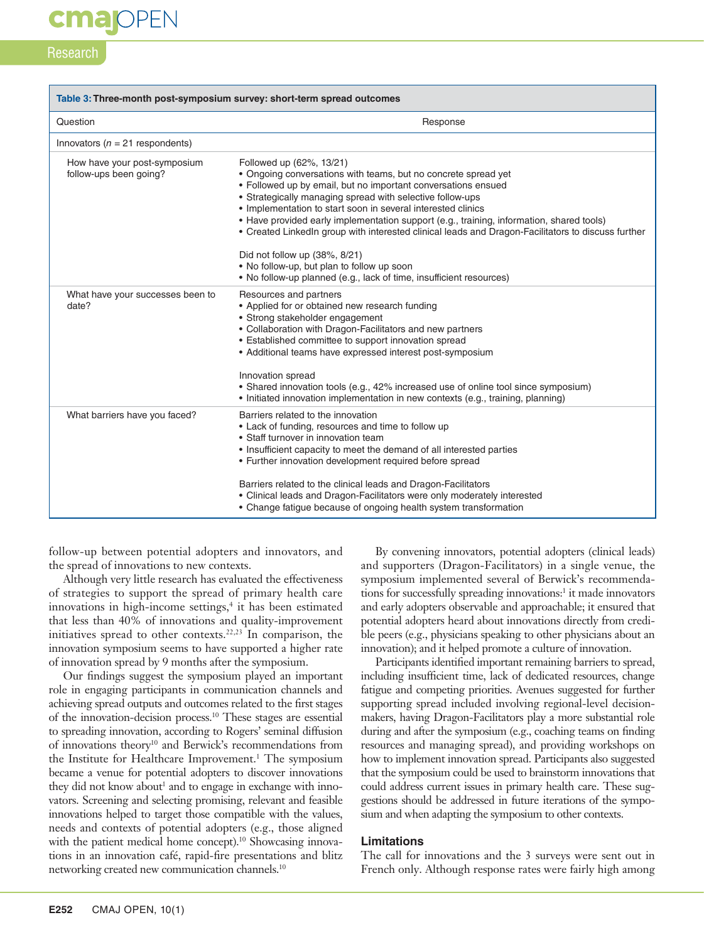# **cmajoPEN**

### **Research**

| Table 3: Three-month post-symposium survey: short-term spread outcomes |                                                                                                                                                                                                                                                                                                                                                                                                                                                                                            |  |  |
|------------------------------------------------------------------------|--------------------------------------------------------------------------------------------------------------------------------------------------------------------------------------------------------------------------------------------------------------------------------------------------------------------------------------------------------------------------------------------------------------------------------------------------------------------------------------------|--|--|
| Question                                                               | Response                                                                                                                                                                                                                                                                                                                                                                                                                                                                                   |  |  |
| Innovators ( $n = 21$ respondents)                                     |                                                                                                                                                                                                                                                                                                                                                                                                                                                                                            |  |  |
| How have your post-symposium<br>follow-ups been going?                 | Followed up (62%, 13/21)<br>• Ongoing conversations with teams, but no concrete spread yet<br>• Followed up by email, but no important conversations ensued<br>• Strategically managing spread with selective follow-ups<br>• Implementation to start soon in several interested clinics<br>• Have provided early implementation support (e.g., training, information, shared tools)<br>• Created LinkedIn group with interested clinical leads and Dragon-Facilitators to discuss further |  |  |
|                                                                        | Did not follow up (38%, 8/21)<br>• No follow-up, but plan to follow up soon<br>• No follow-up planned (e.g., lack of time, insufficient resources)                                                                                                                                                                                                                                                                                                                                         |  |  |
| What have your successes been to<br>date?                              | Resources and partners<br>• Applied for or obtained new research funding<br>• Strong stakeholder engagement<br>• Collaboration with Dragon-Facilitators and new partners<br>• Established committee to support innovation spread<br>• Additional teams have expressed interest post-symposium<br>Innovation spread                                                                                                                                                                         |  |  |
|                                                                        | • Shared innovation tools (e.g., 42% increased use of online tool since symposium)<br>• Initiated innovation implementation in new contexts (e.g., training, planning)                                                                                                                                                                                                                                                                                                                     |  |  |
| What barriers have you faced?                                          | Barriers related to the innovation<br>• Lack of funding, resources and time to follow up<br>• Staff turnover in innovation team<br>• Insufficient capacity to meet the demand of all interested parties<br>• Further innovation development required before spread                                                                                                                                                                                                                         |  |  |
|                                                                        | Barriers related to the clinical leads and Dragon-Facilitators<br>• Clinical leads and Dragon-Facilitators were only moderately interested<br>• Change fatigue because of ongoing health system transformation                                                                                                                                                                                                                                                                             |  |  |

follow-up between potential adopters and innovators, and the spread of innovations to new contexts.

Although very little research has evaluated the effectiveness of strategies to support the spread of primary health care innovations in high-income settings,<sup>4</sup> it has been estimated that less than 40% of innovations and quality-improvement initiatives spread to other contexts.<sup>22,23</sup> In comparison, the innovation symposium seems to have supported a higher rate of innovation spread by 9 months after the symposium.

Our findings suggest the symposium played an important role in engaging participants in communication channels and achieving spread outputs and outcomes related to the first stages of the innovation-decision process.10 These stages are essential to spreading innovation, according to Rogers' seminal diffusion of innovations theory10 and Berwick's recommendations from the Institute for Healthcare Improvement.<sup>1</sup> The symposium became a venue for potential adopters to discover innovations they did not know about<sup>1</sup> and to engage in exchange with innovators. Screening and selecting promising, relevant and feasible innovations helped to target those compatible with the values, needs and contexts of potential adopters (e.g., those aligned with the patient medical home concept).<sup>10</sup> Showcasing innovations in an innovation café, rapid-fire presentations and blitz networking created new communication channels.10

By convening innovators, potential adopters (clinical leads) and supporters (Dragon-Facilitators) in a single venue, the symposium implemented several of Berwick's recommendations for successfully spreading innovations:<sup>1</sup> it made innovators and early adopters observable and approachable; it ensured that potential adopters heard about innovations directly from credible peers (e.g., physicians speaking to other physicians about an innovation); and it helped promote a culture of innovation.

Participants identified important remaining barriers to spread, including insufficient time, lack of dedicated resources, change fatigue and competing priorities. Avenues suggested for further supporting spread included involving regional-level decisionmakers, having Dragon-Facilitators play a more substantial role during and after the symposium (e.g., coaching teams on finding resources and managing spread), and providing workshops on how to implement innovation spread. Participants also suggested that the symposium could be used to brainstorm innovations that could address current issues in primary health care. These suggestions should be addressed in future iterations of the symposium and when adapting the symposium to other contexts.

#### **Limitations**

The call for innovations and the 3 surveys were sent out in French only. Although response rates were fairly high among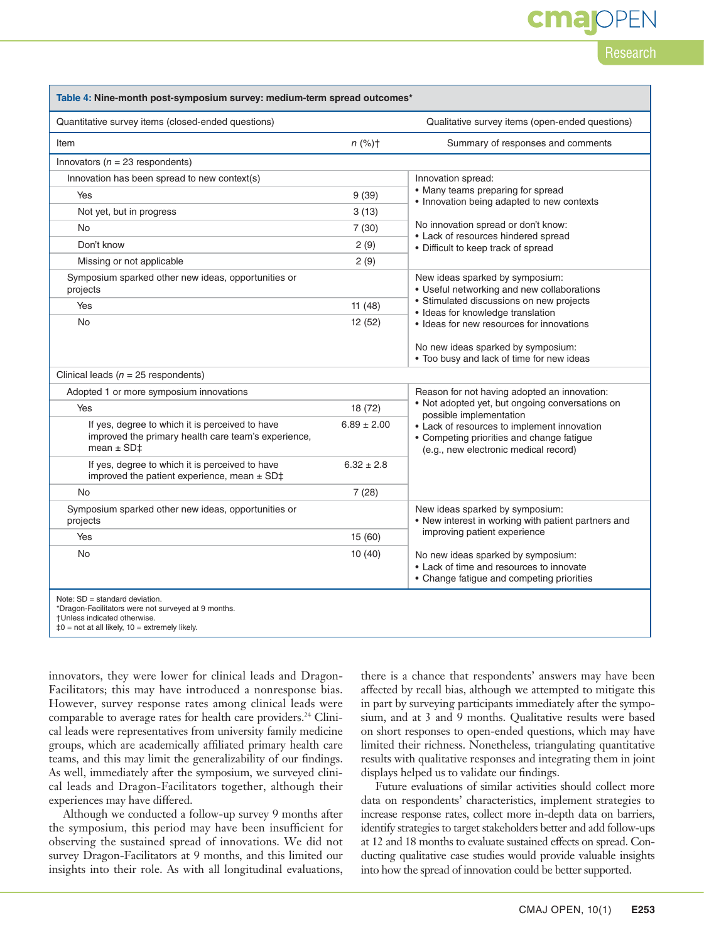# cma

## Research

| Table 4: Nine-month post-symposium survey: medium-term spread outcomes*                                                                                                                |                   |                                                                                                                                                                |  |  |  |
|----------------------------------------------------------------------------------------------------------------------------------------------------------------------------------------|-------------------|----------------------------------------------------------------------------------------------------------------------------------------------------------------|--|--|--|
| Quantitative survey items (closed-ended questions)                                                                                                                                     |                   | Qualitative survey items (open-ended questions)                                                                                                                |  |  |  |
| Item                                                                                                                                                                                   | $n$ (%) $\dagger$ | Summary of responses and comments                                                                                                                              |  |  |  |
| Innovators ( $n = 23$ respondents)                                                                                                                                                     |                   |                                                                                                                                                                |  |  |  |
| Innovation has been spread to new context(s)                                                                                                                                           |                   | Innovation spread:                                                                                                                                             |  |  |  |
| Yes                                                                                                                                                                                    | 9(39)             | • Many teams preparing for spread<br>• Innovation being adapted to new contexts                                                                                |  |  |  |
| Not yet, but in progress                                                                                                                                                               | 3(13)             | No innovation spread or don't know:<br>• Lack of resources hindered spread<br>• Difficult to keep track of spread                                              |  |  |  |
| <b>No</b>                                                                                                                                                                              | 7(30)             |                                                                                                                                                                |  |  |  |
| Don't know                                                                                                                                                                             | 2(9)              |                                                                                                                                                                |  |  |  |
| Missing or not applicable                                                                                                                                                              | 2(9)              |                                                                                                                                                                |  |  |  |
| Symposium sparked other new ideas, opportunities or<br>projects                                                                                                                        |                   | New ideas sparked by symposium:<br>• Useful networking and new collaborations<br>• Stimulated discussions on new projects<br>· Ideas for knowledge translation |  |  |  |
| Yes                                                                                                                                                                                    | 11(48)            |                                                                                                                                                                |  |  |  |
| <b>No</b>                                                                                                                                                                              | 12 (52)           | • Ideas for new resources for innovations                                                                                                                      |  |  |  |
|                                                                                                                                                                                        |                   | No new ideas sparked by symposium:<br>. Too busy and lack of time for new ideas                                                                                |  |  |  |
| Clinical leads ( $n = 25$ respondents)                                                                                                                                                 |                   |                                                                                                                                                                |  |  |  |
| Adopted 1 or more symposium innovations                                                                                                                                                |                   | Reason for not having adopted an innovation:                                                                                                                   |  |  |  |
| Yes                                                                                                                                                                                    | 18 (72)           | • Not adopted yet, but ongoing conversations on<br>possible implementation                                                                                     |  |  |  |
| If yes, degree to which it is perceived to have<br>improved the primary health care team's experience,<br>mean $\pm$ SD $\pm$                                                          | $6.89 \pm 2.00$   | • Lack of resources to implement innovation<br>• Competing priorities and change fatigue<br>(e.g., new electronic medical record)                              |  |  |  |
| If yes, degree to which it is perceived to have<br>improved the patient experience, mean $\pm$ SD $\ddagger$                                                                           | $6.32 \pm 2.8$    |                                                                                                                                                                |  |  |  |
| <b>No</b>                                                                                                                                                                              | 7(28)             |                                                                                                                                                                |  |  |  |
| Symposium sparked other new ideas, opportunities or<br>projects                                                                                                                        |                   | New ideas sparked by symposium:<br>• New interest in working with patient partners and                                                                         |  |  |  |
| Yes                                                                                                                                                                                    | 15(60)            | improving patient experience                                                                                                                                   |  |  |  |
| No                                                                                                                                                                                     | 10(40)            | No new ideas sparked by symposium:<br>• Lack of time and resources to innovate<br>• Change fatigue and competing priorities                                    |  |  |  |
| Note: $SD = standard deviation$ .<br>*Dragon-Facilitators were not surveyed at 9 months.<br>†Unless indicated otherwise.<br>$\text{\#}0$ = not at all likely, $10$ = extremely likely. |                   |                                                                                                                                                                |  |  |  |

innovators, they were lower for clinical leads and Dragon-Facilitators; this may have introduced a nonresponse bias. However, survey response rates among clinical leads were comparable to average rates for health care providers.<sup>24</sup> Clinical leads were representatives from university family medicine groups, which are academically affiliated primary health care teams, and this may limit the generalizability of our findings. As well, immediately after the symposium, we surveyed clinical leads and Dragon-Facilitators together, although their experiences may have differed.

Although we conducted a follow-up survey 9 months after the symposium, this period may have been insufficient for observing the sustained spread of innovations. We did not survey Dragon-Facilitators at 9 months, and this limited our insights into their role. As with all longitudinal evaluations,

there is a chance that respondents' answers may have been affected by recall bias, although we attempted to mitigate this in part by surveying participants immediately after the symposium, and at 3 and 9 months. Qualitative results were based on short responses to open-ended questions, which may have limited their richness. Nonetheless, triangulating quantitative results with qualitative responses and integrating them in joint displays helped us to validate our findings.

Future evaluations of similar activities should collect more data on respondents' characteristics, implement strategies to increase response rates, collect more in-depth data on barriers, identify strategies to target stakeholders better and add follow-ups at 12 and 18 months to evaluate sustained effects on spread. Conducting qualitative case studies would provide valuable insights into how the spread of innovation could be better supported.